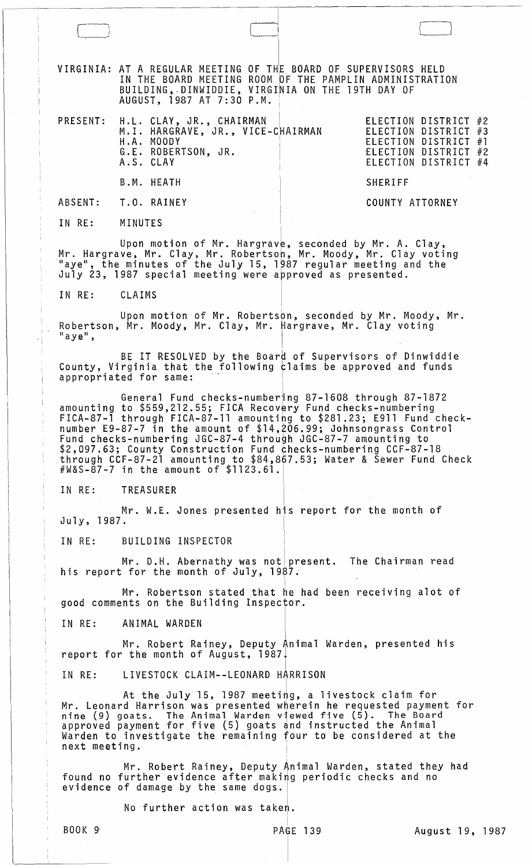VIRGINIA: AT A REGULAR MEETING OF THiE BOARD OF SUPERVISORS HELD IN THE BOARD MEETING ROOM OF THE PAMPLIN ADMINISTRATION<br>DUILDING DINUIDDIE VIDOINILON TUE ISTU-DAVOST BUILDING,.DINWIDDIE, VIRGINIA ON THE 19TH DAY OF <code>AUGUST, 1987</code> AT 7:30 <code>P.M.</code>  $\mid$ 

I

 $\Box$ 

|                     | A.S. CLAY | PRESENT: H.L. CLAY, JR., CHAIRMAN<br>M.I. HARGRAVE, JR., VICE-CHAIRMAN<br>H.A. MOODY<br>G.E. ROBERTSON, JR. |                 | ELECTION DISTRICT #2<br>ELECTION DISTRICT #3<br>ELECTION DISTRICT #1<br>ELECTION DISTRICT #2<br>ELECTION DISTRICT #4 |  |
|---------------------|-----------|-------------------------------------------------------------------------------------------------------------|-----------------|----------------------------------------------------------------------------------------------------------------------|--|
|                     |           | B.M. HEATH                                                                                                  | <b>SHERIFF</b>  |                                                                                                                      |  |
| ABSENT: T.O. RAINEY |           |                                                                                                             | COUNTY ATTORNEY |                                                                                                                      |  |

IN RE: MINUTES

Upon motion of Mr. Hargrave, seconded by Mr. A. Clay,<br>Mr. Hargrave, Mr. Clay, Mr. Robertson, Mr. Moody, Mr. Clay voting<br>"aye", the minutes of the July 15, 1987 regular meeting and the July 23, 1987 special meeting were approved as presented.

I

I

IN RE: CLAIMS

Upon motion of Mr. Robertson, seconded by Mr. Moody, Mr.<br> Mr. Moody, Mr. Clay, Mr. Hargrave, Mr. Clay voting Robertson, Mr. Moody, Mr. Clay, Mr. Hargrave, Mr. Clay voting<br>"aye",  $\mathbb{L}$ 

BE IT RESOLVED by the Board of Supervisors of Dinwiddie County, Virginia that the following claims be approved and funds appropriated for same:

General Fund checks-number<mark>ing 87-1608 through 87-1872</mark> amounting to  $$559,212.55$ ; FICA Recovery Fund checks-numbering FICA-87-1 through FICA-87-11 amounting to \$281.23; E911 Fund checknumber E9-87-7 in the amount of \$14,206.99; Johnsongrass Control Fund checks-numbering JGC-87-4 through JGC-87-7 amounting to \$2,097.63; County Construction Fund checks-numbering CCF-87-18 through CCF-87-21 amounting to \$84,897.53; Water & Sewer Fund Check #W&S-87-7 in the amount of \$1123.61. $\mid$ 

IN RE: TREASURER I

Mr. W.E. Jones presented his report for the month of July, 1987.

IN RE: BUILDING INSPECTOR

Mr. D.H. Abernathy was not $\vert$  present. The Chairman read his report for the month of July,  $1987.$ 

I

Mr. Robertson stated that he had been receiving alot of good comments on the Building Inspector.

IN RE: ANIMAL WARDEN

Mr. Robert Rainey, Deputy Animal Warden, presented his report for the month of August, 1987.

IN RE: LIVESTOCK CLAIM--LEONARD HARRISON

At the July 15, 1987 meeting, a livestock claim for Mr. Leonard Harrison was presented wherein he requested payment for nine (9) goats. The Animal Warden viewed five (5). The Board hing (5) good in the minimum (5) goats and instructed the Animal where to investigate the remaining four to be considered at the next meeting.

i found no evidence Mr. Robert Rainey, Deputy Animal Warden, stated they had rurtner evidence arter making periodic checks and no<br>of damage by the same dogs

No further action was taken.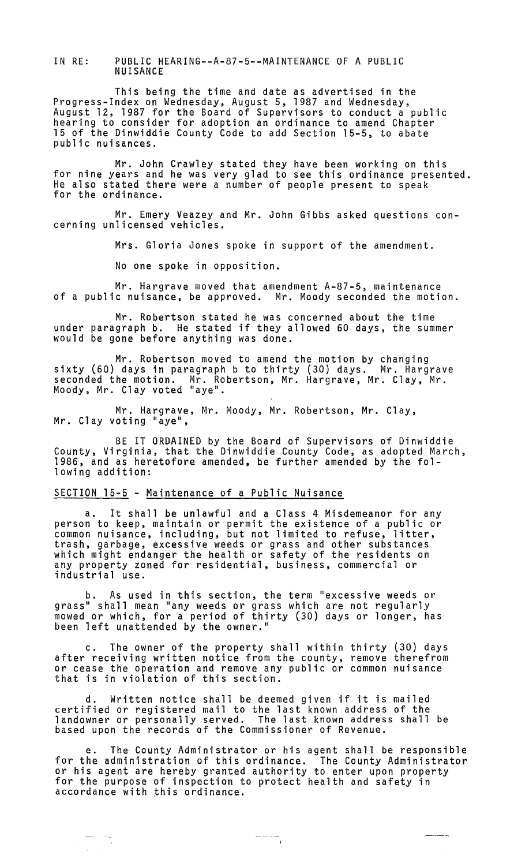IN RE: PUBLIC HEARING--A-87-5--MAINTENANCE OF A PUBLIC NUISANCE

This being the time and date as advertised in the Progress-Index on Wednesday, August 5, 1987 and Wednesday,<br>August 12, 1987 for the Board of Supervisors to conduct a public<br>hearing to consider for adoption an ordinance to amend Chapter<br>15 of the Dinwiddie County Code to public nuisances.

Mr. John Crawley stated they have been working on this for nine years and he was very glad to see this ordinance presented.<br>He also stated there were a number of people present to speak<br>for the ordinance.

Mr. Emery Veazey and Mr. John Gibbs asked questions concerning unlicensed vehicles.

Mrs. Gloria Jones spoke in support of the amendment.

No one spoke in opposition.

Mr. Hargrave moved that amendment A-87-5, maintenance of a public nuisance, be approved. Mr. Moody seconded the motion.

Mr. Robertson stated he was concerned about the time under paragraph b. He stated if they allowed 60 days, the summer would be gone before anything was done.

Mr. Robertson moved to amend the motion by changing<br>sixty (60) days in paragraph b to thirty (30) days. Mr. Hargrave<br>seconded the motion. Mr. Robertson, Mr. Hargrave, Mr. Clay, Mr. Moody, Mr. Clay voted "aye".

Mr. Hargrave, Mr. Moody, Mr. Robertson, Mr. Clay, Mr. Clay voting "aye",

BE IT ORDAINED by the Board of Supervisors of Dinwiddie County, Virginia, that the Dinwiddie County Code, as adopted March, 1986, and as heretofore amended, be further amended by the following addition:

## SECTION 15-5 - Maintenance of a Public Nuisance

a. It shall be unlawful and a Class 4 Misdemeanor for any person to keep, maintain or permit the existence of a public or common nuisance, including, but not limited to refuse, litter, trash, garbage, excessive weeds or grass and other substances which might endanger the health or safety of the residents on any property zoned for residential, business, commercial or industrial use.

b. As used in this section, the term "excessive weeds or grass" shall mean "any weeds or grass which are not regularly mowed or which, for a period of thirty (30) days or longer, has been left unattended by the owner."

c. The owner of the property shall within thirty (30) days after receiving written notice from the county, remove therefrom or cease the operation and remove any public or common nuisance that is in violation of this section.

d. Written notice shall be deemed given if it is mailed certified or registered mail to the last known address of the landowner or personally served. The last known address shall be based upon the records of the Commissioner of Revenue.

e. The' County Administrator or his agent shall be responsible for the administration of this ordinance. The County Administrator or his agent are hereby granted authority to enter upon property for the purpose of inspection to protect health and safety in accordance with this ordinance.

 $\frac{1}{\sqrt{1-\frac{1}{2}}\cdot\frac{1}{2}}$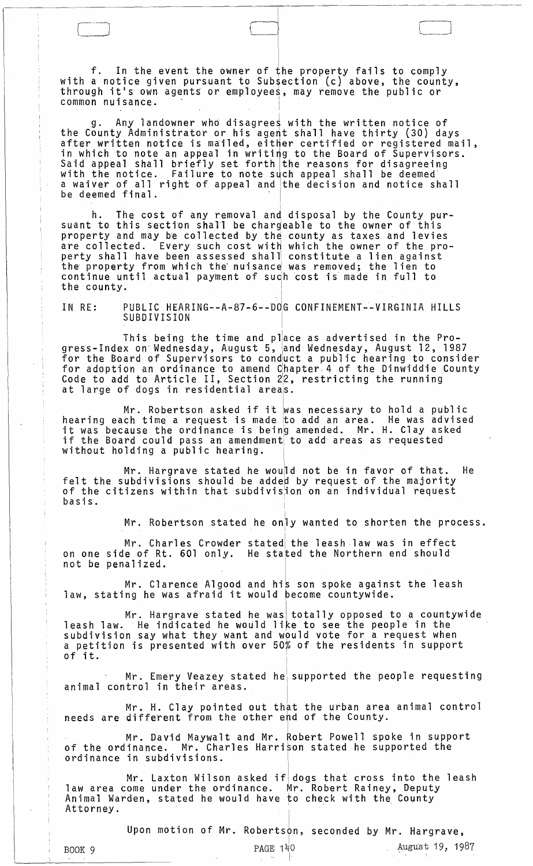f. In the event the owner of the property fails to comply with a notice given pursuant to Subsection (c) above, the county, through it's own agents or employees, may remove the public or common nuisance.

 $\bigcap$ 

g. Any landowner who disagrees with the written notice of the County Administrator or his agent shall have thirty (30) days after written notice is mailed, either certified or registered mail, in which to note an appeal in writing to the Board of Supervisors.<br>Said appeal shall briefly set forth the reasons for disagreeing<br>with the notice. Failure to note such appeal shall be deemed a waiver of all right of appeal and the decision and notice shall be deemed final.

h. The cost of any removal and disposal by the County pursuant to this section shall be chargeable to the owner of this property and may be collected by the county as taxes and levies are collected. Every such cost witH which the owner of the property shall have been assessed shall constitute a lien against<br>the property from which the nuisance was removed; the lien to continue until actual payment of such cost is made in full to the county.

IN RE: PUBLIC HEARING--A-87-6--DdG CONFINEMENT--VIRGINIA HILLS SUBDIVISION

This being the time and place as advertised in the Progress-Index on Wednesday, August 5, and Wednesday, August 12, 1987 for the Board of Supervisors to cond'uct a publ ic hearing to consider for adoption an ordinance to amend Chapter 4 of the Dinwiddie County Code to add to Article II, Section  $2/2$ , restricting the running at large of dogs in residential areas.

Mr. Robertson asked if it was necessary to hold a public<br>hearing each time a request is made to add an area. He was advised nearing each time a request is made to add an area. The was advise<br>it was because the ordinance is being amended. Mr. H. Clay asked if the Board could pass an amendment to add areas as requested without holding a public hearing.

 $Mr.$  Hargrave stated he would not be in favor of that. He felt the subdivisions should be added by request of the majority of the citizens within that subdivistion on an individual request basis. <sup>I</sup>

 $Mr.$  Robertson stated he only wanted to shorten the process.

Mr. Charles Crowder stated the leash law was in effect on one side of Rt. 601 only. He stafed the Northern end should not be penalized. <sup>I</sup>

Mr. Clarence Algood and his son spoke against the leash law, stating he was afraid it would become countywide.

Mr. Hargrave stated he wasil totally opposed to a countywide leash law. He indicated he would like to see the people in the subdivision say what they want and wpuld vote for a request when a petition is presented with over 50% of the residents in support<br>of it.

 $Mr.$  Emery Veazey stated he supported the people requesting animal control in their areas.

Mr. H. Clay pointed out that the urban area animal control needs are different from the other end of the County.

Mr. David Maywalt and Mr. Robert Powell spoke in support<br>of the ordinance. Mr. Charles Harrison stated he supported the Mr. Charles Harrison stated he supported the ordinance in subdivisions.

Mr. Laxton Wilson asked if dogs that cross into the leash law area come under the ordinance. Mr. Robert Rainey, Deputy<br>Animal Warden, stated he would have to check with the County Mr. Laxton Wilson asked if dogs that<br>law area come under the ordinance. Mr. Rober<br>Animal Warden, stated he would have to check<br>Attorney.

Upon motion of Mr. Robertson, seconded by Mr. Hargrave,

I

PAGE  $140$ BOOK 9 **PAGE 140** PAGE 140 **August 19, 1987**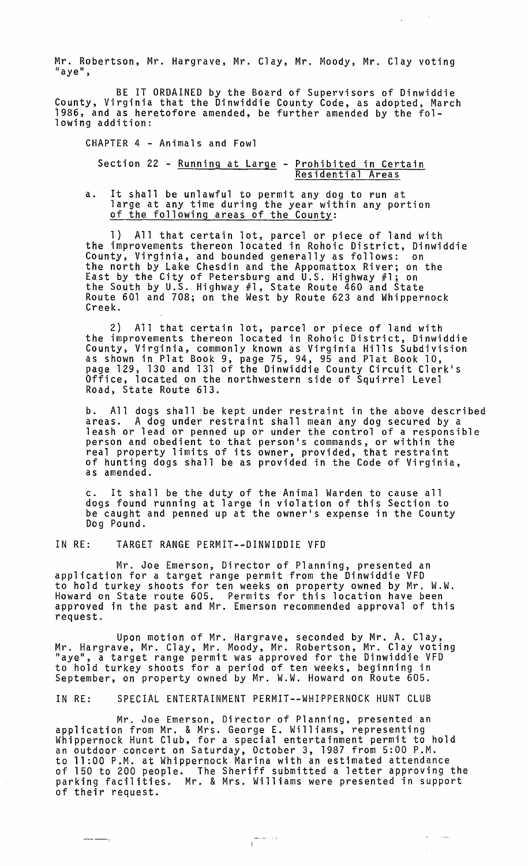Mr. Robertson, Mr. Hargrave, Mr. Clay, Mr. Moody, Mr. Clay voting<br>"aye",

 $\sim$   $\sim$ 

 $\Delta \sim 10$ 

BE IT ORDAINED by the Board of Supervisors of Dinwiddie County, Virginia that the Dinwiddie County Code, as adopted, March 1986, and as heretofore amended, be further amended by the following addition:

CHAPTER 4 - Animals and Fowl Section 22 - Running at Large - Prohibited in Certain Residential Areas

a. It shall be unlawful to permit any dog to run at large at any time during the year within any portion<br>of the following areas of the County:

1) All that certain lot, parcel or piece of land with the improvements thereon located in Rohoic District, Dinwiddie County, Virginia, and bounded generally as follows: on the north by Lake Chesdin and the Appomattox River; on the East by the City of Petersburg and u.S. Highway #1; on the South by U.S. Highway #1, State Route 460 and State Route 601 and 708; on the West by Route 623 and Whippernock<br>Creek.

2) All that certain lot, parcel or piece of land with the improvements thereon located in Rohoic District, Dinwiddie County, Virginia, commonly known as Virginia Hills Subdivision as shown in Plat Book 9, page 75, 94, 95 and Plat Book 10, page 129, 130 and 131 of the Dinwiddie County Circuit Clerk's Office, located on the northwestern side of Squirrel Level Road, State Route 613.

b. All dogs shall be kept under restraint in the above described areas. A dog under restraint shall mean any dog secured by a leash or lead or penned up or under the control of a responsible person and obedient to that person's commands, or within the real property limits of its owner, provided, that restraint of hunting dogs shall be as provided in the Code of Virginia, as amended.

c. It shall be the duty of the Animal Warden to cause all dogs found running at large in violation of this Section to be caught and penned up at the owner's expense in the County Dog Pound.

IN RE: TARGET RANGE PERMIT--DINWIDDIE VFD

Mr. Joe Emerson, Director of Planning, presented an application for a target range permit from the Dinwiddie VFD to hold turkey shoots for ten weeks on property owned by Mr. W.W. Howard on State route 605. Permits for this location have been approved in the past and Mr. Emerson recommended approval of this request.

Upon motion of Mr. Hargrave, seconded by Mr. A. Clay, Mr. Hargrave, Mr. Clay, Mr. Moody, Mr. Robertson, Mr. Clay voting to hold turkey shoots for a period of ten weeks, beginning in September, on property owned by Mr. W.W. Howard on Route 605.

IN RE: SPECIAL ENTERTAINMENT PERMIT--WHIPPERNOCK HUNT CLUB

Mr. Joe Emerson, Director of Planning, presented an application from Mr. & Mrs. George E. Williams, representing<br>Whippernock Hunt Club, for a special entertainment permit to hold an outdoor concert on Saturday, October 3, 1987 from 5:00 P.M. to 11:00 P.M. at Whippernock Marina with an estimated attendance of 150 to 200 people. The Sheriff submitted a letter approving the parking facilities. Mr. & Mrs. Williams were presented in support of their request.

 $\overline{1}$ 

 $\sim$   $\sim$   $\sim$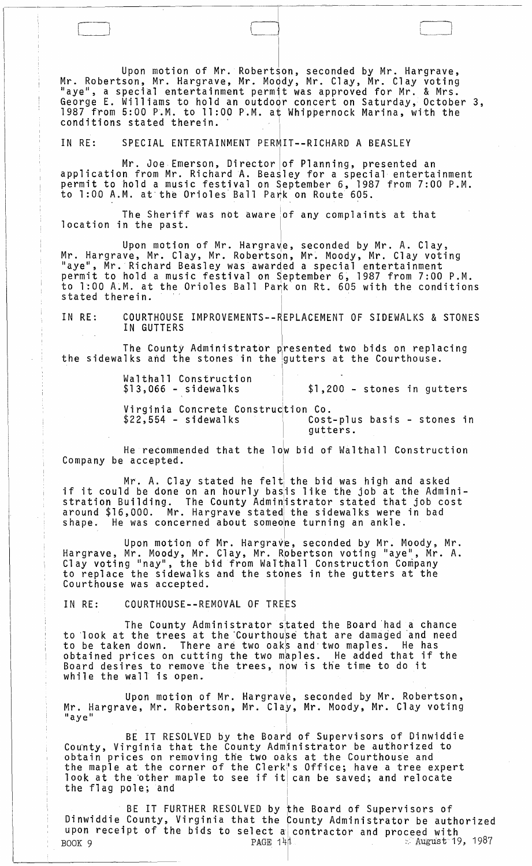Upon motion of Mr. Robertson, seconded by Mr. Hargrave, Mr. Robertson, Mr. Hargrave, Mr. Moody, Mr. Clay, Mr. Clay voting George E. Williams to hold an outdoqr concert on Saturday, October 3, 1987 from 5:00 P.M. to 11:00 P.M. at Whippernock Marina, with the conditions stated therein.

 $\Box$ 

<sup>I</sup>IN RE: SPECIAL ENTERTAINMENT PERMIT--RICHARD A BEASLEY

" "

Mr. Joe Emerson, Director of Planning, presented an application from Mr. RichardA. Beasley for a special entertainment permit to hold a music festival on September 6, 1987 from 7:00 P.M. to 1:00 A.M. at the Orioles Ball Park on Route 605.

The Sheriff was not aware of any complaints at that location in the past.

Upon motion of Mr. Hargra~e, seconded by Mr. A. Clay, Mr. Hargrave, Mr. Clay, Mr. Robertsqn, Mr~ Moody, Mr. Clay voting "aye", Mr. Richard Beasley was awarded a special entertainment permit to hold a music festival on September 6, 1987 from 7:00 P.M. to 1:00 A.M. at the Orioles Ball Pa $\uparrow$ k on Rt. 605 with the conditions permit to nold a music restival on September 6, 1987 irc<br>to 1:00 A.M. at the Orioles Ball Park on Route 605.<br>The Sheriff was not aware of any complaints a<br>location in the past.<br>Upon motion of Mr. Hargrave, seconded by Mr.<br>

IN RE: COURTHOUSE IMPROVEMENTS--REPLACEMENT OF SIDEWALKS & STONES IN GUTTERS  $\mathcal{L}^{\pm}$ 

The County Administrator presented two bids on replacing<br>the sidewalks and the stones in the gutters at the Courthouse.

Walthall Construction  $$13,066$  - sidewalks I i \$1,200 - stones in gutters Virginia Concrete constru~tion Co.

Cost-plus basis - stones in gutters.

He recommended that the low bid of Walthall Construction Company be accepted.

I

Mr. A. Clay stated he felt the bid was high and asked if it could be done on an hourly basis like the job at the Administration Building. The County Adminiistrator stated that job cost around \$16,000. Mr. Hargrave stated the sidewalks were in bad shape. He was concerned about someone turning an ankle.

Upon motion of Mr. Hargrave, seconded by Mr. Moody, Mr. Hargrave, Mr. Moody, Mr. Clay, Mr. Robertson voting "aye", Mr. A. Clay voting "nay", the bid from Walthall Construction Company to replace the sidewalks and the stones in the gutters at the Courthouse was accepted.

IN RE: COURTHOUSE--REMOVAL OF TREES

The County Administrator stated the Board had a chance to look at the trees at the Courthouse that are damaged and need to be taken down. There are two oaks and two maples. He has obtained prices on cutting the two maples. He added that if the Board desires to remove the trees, npw is the time to do it while the wall is open.

Upon motion of Mr. Hargrave, seconded by Mr. Robertson, Mr. Hargrave, Mr. Robertson, Mr. Clay, Mr. Moody, Mr. Clay voting<br>"aye"

,

i

BE IT RESOLVED by the Board of Supervisors of Dinwiddie County, Virginia that the County Adm<sub>i</sub>nistrator be authorized to obtain prices on removing the two oaks at the Courthouse and the maple at the corner of the Clerk's Office; have a tree expert look at the other maple to see if it can be saved; and relocate the flag pole; and

BE IT FURTHER RESOLVED by the Board of Supervisors of Dinwiddie County, Virginia that the County Administrator be authorized upon receipt of the bids to select a contractor and proceed with<br>BOOK 9 **PAGE 14**